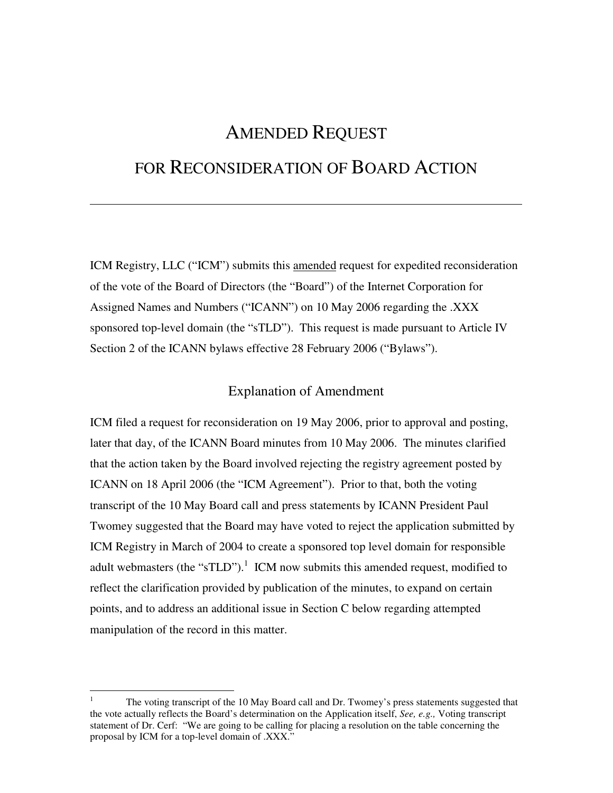# AMENDED REQUEST

# FOR RECONSIDERATION OF BOARD ACTION

ICM Registry, LLC ("ICM") submits this amended request for expedited reconsideration of the vote of the Board of Directors (the "Board") of the Internet Corporation for Assigned Names and Numbers ("ICANN") on 10 May 2006 regarding the .XXX sponsored top-level domain (the "sTLD"). This request is made pursuant to Article IV Section 2 of the ICANN bylaws effective 28 February 2006 ("Bylaws").

#### Explanation of Amendment

ICM filed a request for reconsideration on 19 May 2006, prior to approval and posting, later that day, of the ICANN Board minutes from 10 May 2006. The minutes clarified that the action taken by the Board involved rejecting the registry agreement posted by ICANN on 18 April 2006 (the "ICM Agreement"). Prior to that, both the voting transcript of the 10 May Board call and press statements by ICANN President Paul Twomey suggested that the Board may have voted to reject the application submitted by ICM Registry in March of 2004 to create a sponsored top level domain for responsible adult webmasters (the "sTLD").<sup>1</sup> ICM now submits this amended request, modified to reflect the clarification provided by publication of the minutes, to expand on certain points, and to address an additional issue in Section C below regarding attempted manipulation of the record in this matter.

<u>.</u>

<sup>1</sup> The voting transcript of the 10 May Board call and Dr. Twomey's press statements suggested that the vote actually reflects the Board's determination on the Application itself, *See, e.g.,* Voting transcript statement of Dr. Cerf: " We are going to be calling for placing a resolution on the table concerning the proposal by ICM for a top-level domain of .XXX."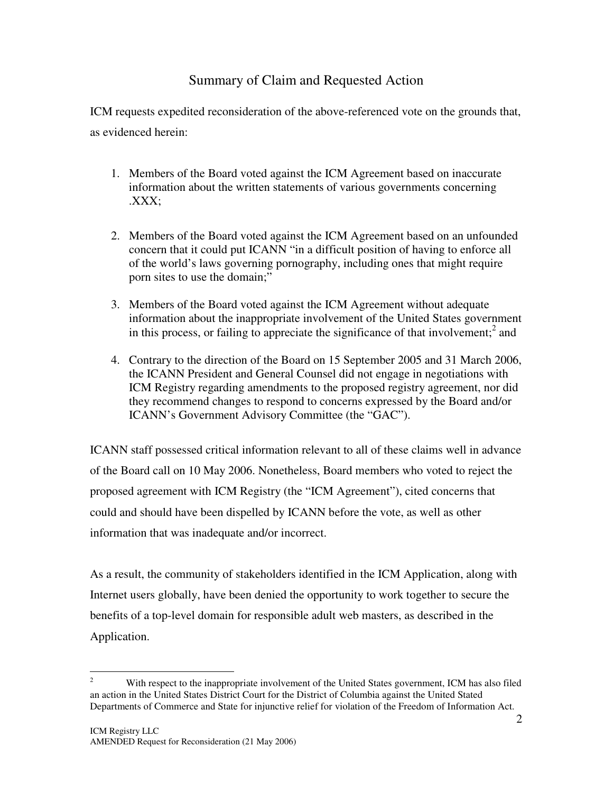### Summary of Claim and Requested Action

ICM requests expedited reconsideration of the above-referenced vote on the grounds that, as evidenced herein:

- 1. Members of the Board voted against the ICM Agreement based on inaccurate information about the written statements of various governments concerning .XXX;
- 2. Members of the Board voted against the ICM Agreement based on an unfounded concern that it could put ICANN " in a difficult position of having to enforce all of the world's laws governing pornography, including ones that might require porn sites to use the domain;"
- 3. Members of the Board voted against the ICM Agreement without adequate information about the inappropriate involvement of the United States government in this process, or failing to appreciate the significance of that involvement; $^2$  and
- 4. Contrary to the direction of the Board on 15 September 2005 and 31 March 2006, the ICANN President and General Counsel did not engage in negotiations with ICM Registry regarding amendments to the proposed registry agreement, nor did they recommend changes to respond to concerns expressed by the Board and/or ICANN's Government Advisory Committee (the "GAC").

ICANN staff possessed critical information relevant to all of these claims well in advance of the Board call on 10 May 2006. Nonetheless, Board members who voted to reject the proposed agreement with ICM Registry (the " ICM Agreement"), cited concerns that could and should have been dispelled by ICANN before the vote, as well as other information that was inadequate and/or incorrect.

As a result, the community of stakeholders identified in the ICM Application, along with Internet users globally, have been denied the opportunity to work together to secure the benefits of a top-level domain for responsible adult web masters, as described in the Application.

 $\overline{2}$ <sup>2</sup> With respect to the inappropriate involvement of the United States government, ICM has also filed an action in the United States District Court for the District of Columbia against the United Stated Departments of Commerce and State for injunctive relief for violation of the Freedom of Information Act.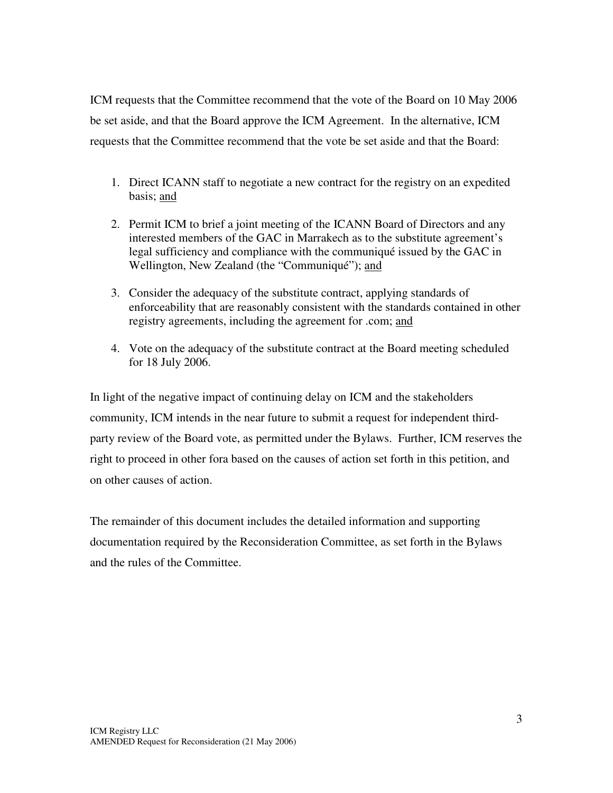ICM requests that the Committee recommend that the vote of the Board on 10 May 2006 be set aside, and that the Board approve the ICM Agreement. In the alternative, ICM requests that the Committee recommend that the vote be set aside and that the Board:

- 1. Direct ICANN staff to negotiate a new contract for the registry on an expedited basis; and
- 2. Permit ICM to brief a joint meeting of the ICANN Board of Directors and any interested members of the GAC in Marrakech as to the substitute agreement's legal sufficiency and compliance with the communiqué issued by the GAC in Wellington, New Zealand (the "Communiqué"); and
- 3. Consider the adequacy of the substitute contract, applying standards of enforceability that are reasonably consistent with the standards contained in other registry agreements, including the agreement for .com; and
- 4. Vote on the adequacy of the substitute contract at the Board meeting scheduled for 18 July 2006.

In light of the negative impact of continuing delay on ICM and the stakeholders community, ICM intends in the near future to submit a request for independent thirdparty review of the Board vote, as permitted under the Bylaws. Further, ICM reserves the right to proceed in other fora based on the causes of action set forth in this petition, and on other causes of action.

The remainder of this document includes the detailed information and supporting documentation required by the Reconsideration Committee, as set forth in the Bylaws and the rules of the Committee.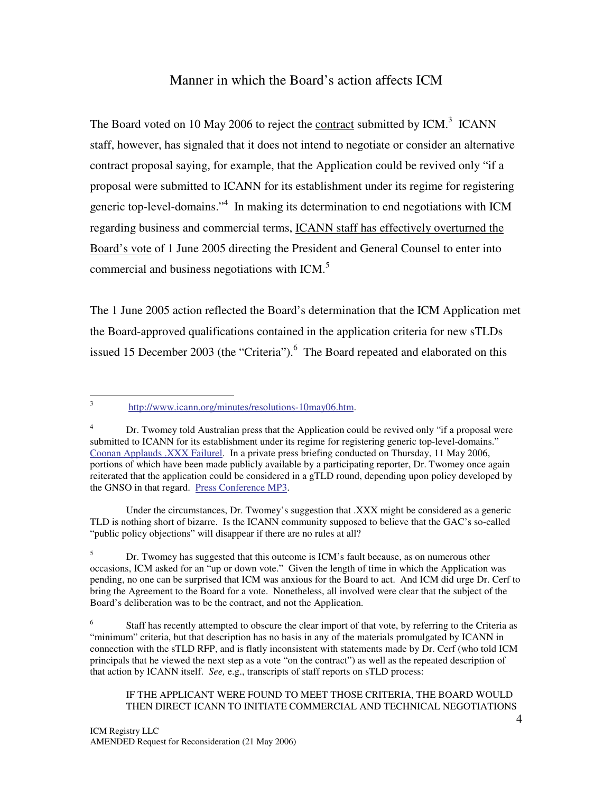#### Manner in which the Board's action affects ICM

The Board voted on 10 May 2006 to reject the contract submitted by ICM.<sup>3</sup> ICANN staff, however, has signaled that it does not intend to negotiate or consider an alternative contract proposal saying, for example, that the Application could be revived only "if a proposal were submitted to ICANN for its establishment under its regime for registering generic top-level-domains."<sup>4</sup> In making its determination to end negotiations with ICM regarding business and commercial terms, ICANN staff has effectively overturned the Board's vote of 1 June 2005 directing the President and General Counsel to enter into commercial and business negotiations with ICM.<sup>5</sup>

The 1 June 2005 action reflected the Board's determination that the ICM Application met the Board-approved qualifications contained in the application criteria for new sTLDs issued 15 December 2003 (the "Criteria").<sup>6</sup> The Board repeated and elaborated on this

Under the circumstances, Dr. Twomey's suggestion that .XXX might be considered as a generic TLD is nothing short of bizarre. Is the ICANN community supposed to believe that the GAC's so-called " public policy objections" will disappear if there are no rules at all?

 $\frac{1}{3}$ http://www.icann.org/minutes/resolutions-10may06.htm.

<sup>&</sup>lt;sup>4</sup> Dr. Twomey told Australian press that the Application could be revived only "if a proposal were submitted to ICANN for its establishment under its regime for registering generic top-level-domains." Coonan Applauds .XXX Failurel. In a private press briefing conducted on Thursday, 11 May 2006, portions of which have been made publicly available by a participating reporter, Dr. Twomey once again reiterated that the application could be considered in a gTLD round, depending upon policy developed by the GNSO in that regard. Press Conference MP3.

<sup>&</sup>lt;sup>5</sup> Dr. Twomey has suggested that this outcome is ICM's fault because, as on numerous other occasions, ICM asked for an " up or down vote." Given the length of time in which the Application was pending, no one can be surprised that ICM was anxious for the Board to act. And ICM did urge Dr. Cerf to bring the Agreement to the Board for a vote. Nonetheless, all involved were clear that the subject of the Board's deliberation was to be the contract, and not the Application.

<sup>6</sup> Staff has recently attempted to obscure the clear import of that vote, by referring to the Criteria as " minimum" criteria, but that description has no basis in any of the materials promulgated by ICANN in connection with the sTLD RFP, and is flatly inconsistent with statements made by Dr. Cerf (who told ICM principals that he viewed the next step as a vote "on the contract") as well as the repeated description of that action by ICANN itself. *See,* e.g., transcripts of staff reports on sTLD process:

IF THE APPLICANT WERE FOUND TO MEET THOSE CRITERIA, THE BOARD WOULD THEN DIRECT ICANN TO INITIATE COMMERCIAL AND TECHNICAL NEGOTIATIONS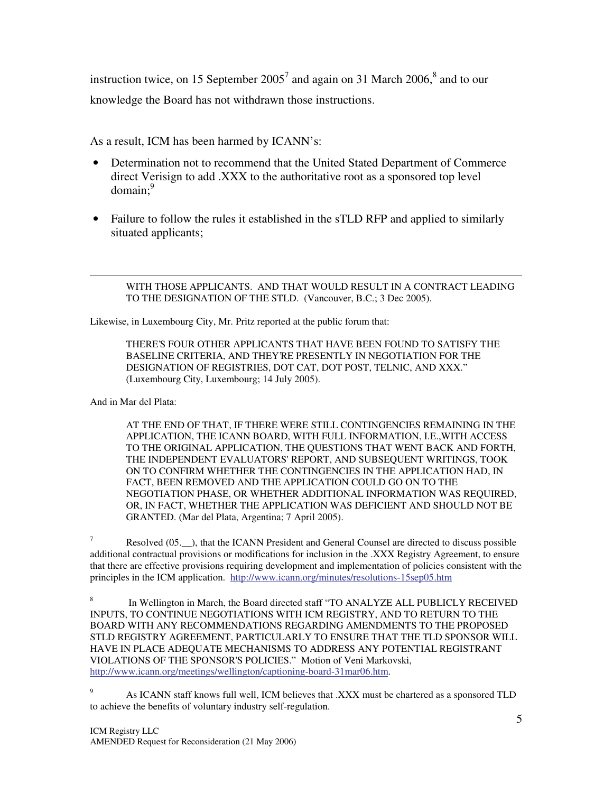instruction twice, on 15 September 2005 7 and again on 31 March 2006, 8 and to our knowledge the Board has not withdrawn those instructions.

As a result, ICM has been harmed by ICANN's:

- Determination not to recommend that the United Stated Department of Commerce direct Verisign to add .XXX to the authoritative root as a sponsored top level domain;<sup>9</sup>
- Failure to follow the rules it established in the sTLD RFP and applied to similarly situated applicants;

WITH THOSE APPLICANTS. AND THAT WOULD RESULT IN A CONTRACT LEADING TO THE DESIGNATION OF THE STLD. (Vancouver, B.C.; 3 Dec 2005).

Likewise, in Luxembourg City, Mr. Pritz reported at the public forum that:

THERE'S FOUR OTHER APPLICANTS THAT HAVE BEEN FOUND TO SATISFY THE BASELINE CRITERIA, AND THEY'RE PRESENTLY IN NEGOTIATION FOR THE DESIGNATION OF REGISTRIES, DOT CAT, DOT POST, TELNIC, AND XXX." (Luxembourg City, Luxembourg; 14 July 2005).

And in Mar del Plata:

-

AT THE END OF THAT, IF THERE WERE STILL CONTINGENCIES REMAINING IN THE APPLICATION, THE ICANN BOARD, WITH FULL INFORMATION, I.E.,WITH ACCESS TO THE ORIGINAL APPLICATION, THE QUESTIONS THAT WENT BACK AND FORTH, THE INDEPENDENT EVALUATORS'REPORT, AND SUBSEQUENT WRITINGS, TOOK ON TO CONFIRM WHETHER THE CONTINGENCIES IN THE APPLICATION HAD, IN FACT, BEEN REMOVED AND THE APPLICATION COULD GO ON TO THE NEGOTIATION PHASE, OR WHETHER ADDITIONAL INFORMATION WAS REQUIRED, OR, IN FACT, WHETHER THE APPLICATION WAS DEFICIENT AND SHOULD NOT BE GRANTED. (Mar del Plata, Argentina; 7 April 2005).

 $7 \text{ Resolved } (05.$ ), that the ICANN President and General Counsel are directed to discuss possible additional contractual provisions or modifications for inclusion in the .XXX Registry Agreement, to ensure that there are effective provisions requiring development and implementation of policies consistent with the principles in the ICM application. http://www.icann.org/minutes/resolutions-15sep05.htm

8 In Wellington in March, the Board directed staff "TO ANALYZE ALL PUBLICLY RECEIVED INPUTS, TO CONTINUE NEGOTIATIONS WITH ICM REGISTRY, AND TO RETURN TO THE BOARD WITH ANY RECOMMENDATIONS REGARDING AMENDMENTS TO THE PROPOSED STLD REGISTRY AGREEMENT, PARTICULARLY TO ENSURE THAT THE TLD SPONSOR WILL HAVE IN PLACE ADEQUATE MECHANISMS TO ADDRESS ANY POTENTIAL REGISTRANT VIOLATIONS OF THE SPONSOR'S POLICIES." Motion of Veni Markovski, http://www.icann.org/meetings/wellington/captioning-board-31mar06.htm.

<sup>9</sup> As ICANN staff knows full well, ICM believes that .XXX must be chartered as a sponsored TLD to achieve the benefits of voluntary industry self-regulation.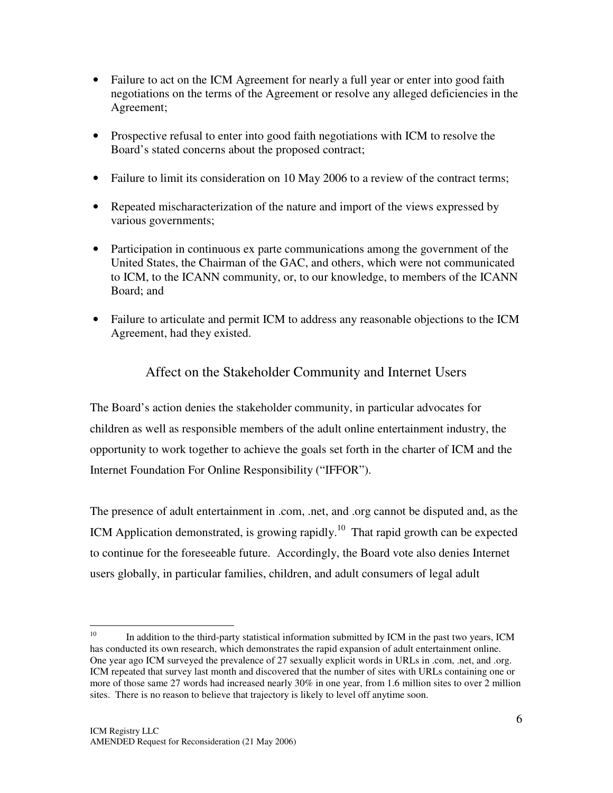- Failure to act on the ICM Agreement for nearly a full year or enter into good faith negotiations on the terms of the Agreement or resolve any alleged deficiencies in the Agreement;
- Prospective refusal to enter into good faith negotiations with ICM to resolve the Board's stated concerns about the proposed contract;
- Failure to limit its consideration on 10 May 2006 to a review of the contract terms;
- Repeated mischaracterization of the nature and import of the views expressed by various governments;
- Participation in continuous ex parte communications among the government of the United States, the Chairman of the GAC, and others, which were not communicated to ICM, to the ICANN community, or, to our knowledge, to members of the ICANN Board; and
- Failure to articulate and permit ICM to address any reasonable objections to the ICM Agreement, had they existed.

## Affect on the Stakeholder Community and Internet Users

The Board's action denies the stakeholder community, in particular advocates for children as well as responsible members of the adult online entertainment industry, the opportunity to work together to achieve the goals set forth in the charter of ICM and the Internet Foundation For Online Responsibility (" IFFOR").

The presence of adult entertainment in .com, .net, and .org cannot be disputed and, as the ICM Application demonstrated, is growing rapidly.<sup>10</sup> That rapid growth can be expected to continue for the foreseeable future. Accordingly, the Board vote also denies Internet users globally, in particular families, children, and adult consumers of legal adult

 $\frac{1}{10}$ In addition to the third-party statistical information submitted by ICM in the past two years, ICM has conducted its own research, which demonstrates the rapid expansion of adult entertainment online. One year ago ICM surveyed the prevalence of 27 sexually explicit words in URLs in .com, .net, and .org. ICM repeated that survey last month and discovered that the number of sites with URLs containing one or more of those same 27 words had increased nearly 30% in one year, from 1.6 million sites to over 2 million sites. There is no reason to believe that trajectory is likely to level off anytime soon.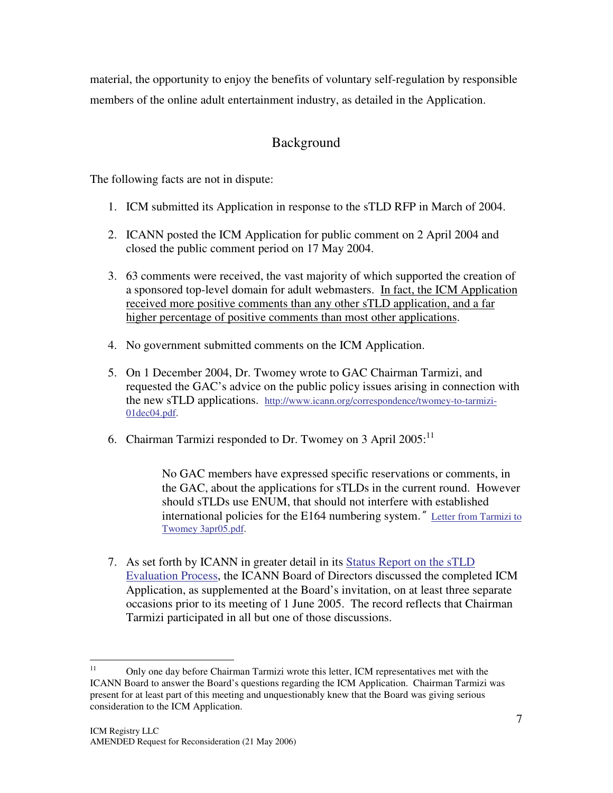material, the opportunity to enjoy the benefits of voluntary self-regulation by responsible members of the online adult entertainment industry, as detailed in the Application.

## Background

The following facts are not in dispute:

- 1. ICM submitted its Application in response to the sTLD RFP in March of 2004.
- 2. ICANN posted the ICM Application for public comment on 2 April 2004 and closed the public comment period on 17 May 2004.
- 3. 63 comments were received, the vast majority of which supported the creation of a sponsored top-level domain for adult webmasters. In fact, the ICM Application received more positive comments than any other sTLD application, and a far higher percentage of positive comments than most other applications.
- 4. No government submitted comments on the ICM Application.
- 5. On 1 December 2004, Dr. Twomey wrote to GAC Chairman Tarmizi, and requested the GAC's advice on the public policy issues arising in connection with the new sTLD applications. http://www.icann.org/correspondence/twomey-to-tarmizi-01dec04.pdf.
- 6. Chairman Tarmizi responded to Dr. Twomey on 3 April  $2005$ :<sup>11</sup>

No GAC members have expressed specific reservations or comments, in the GAC, about the applications for sTLDs in the current round. However should sTLDs use ENUM, that should not interfere with established international policies for the E164 numbering system." Letter from Tarmizi to Twomey 3apr05.pdf.

7. As set forth by ICANN in greater detail in its Status Report on the sTLD Evaluation Process, the ICANN Board of Directors discussed the completed ICM Application, as supplemented at the Board's invitation, on at least three separate occasions prior to its meeting of 1 June 2005. The record reflects that Chairman Tarmizi participated in all but one of those discussions.

 $11$ <sup>11</sup> Only one day before Chairman Tarmizi wrote this letter, ICM representatives met with the ICANN Board to answer the Board's questions regarding the ICM Application. Chairman Tarmizi was present for at least part of this meeting and unquestionably knew that the Board was giving serious consideration to the ICM Application.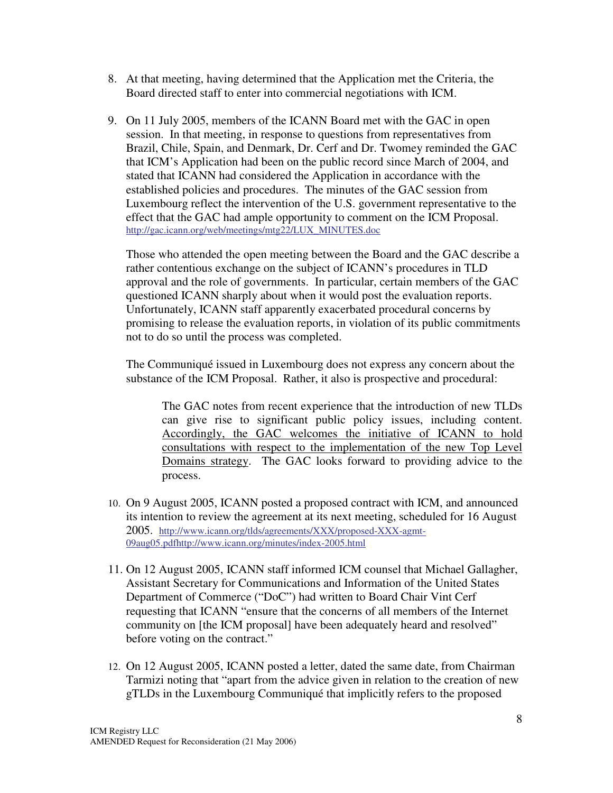- 8. At that meeting, having determined that the Application met the Criteria, the Board directed staff to enter into commercial negotiations with ICM.
- 9. On 11 July 2005, members of the ICANN Board met with the GAC in open session. In that meeting, in response to questions from representatives from Brazil, Chile, Spain, and Denmark, Dr. Cerf and Dr. Twomey reminded the GAC that ICM's Application had been on the public record since March of 2004, and stated that ICANN had considered the Application in accordance with the established policies and procedures. The minutes of the GAC session from Luxembourg reflect the intervention of the U.S. government representative to the effect that the GAC had ample opportunity to comment on the ICM Proposal. http://gac.icann.org/web/meetings/mtg22/LUX\_MINUTES.doc

Those who attended the open meeting between the Board and the GAC describe a rather contentious exchange on the subject of ICANN's procedures in TLD approval and the role of governments. In particular, certain members of the GAC questioned ICANN sharply about when it would post the evaluation reports. Unfortunately, ICANN staff apparently exacerbated procedural concerns by promising to release the evaluation reports, in violation of its public commitments not to do so until the process was completed.

The Communiqué issued in Luxembourg does not express any concern about the substance of the ICM Proposal. Rather, it also is prospective and procedural:

The GAC notes from recent experience that the introduction of new TLDs can give rise to significant public policy issues, including content. Accordingly, the GAC welcomes the initiative of ICANN to hold consultations with respect to the implementation of the new Top Level Domains strategy. The GAC looks forward to providing advice to the process.

- 10. On 9 August 2005, ICANN posted a proposed contract with ICM, and announced its intention to review the agreement at its next meeting, scheduled for 16 August 2005. http://www.icann.org/tlds/agreements/XXX/proposed-XXX-agmt-09aug05.pdfhttp://www.icann.org/minutes/index-2005.html
- 11. On 12 August 2005, ICANN staff informed ICM counsel that Michael Gallagher, Assistant Secretary for Communications and Information of the United States Department of Commerce ("DoC") had written to Board Chair Vint Cerf requesting that ICANN "ensure that the concerns of all members of the Internet community on [the ICM proposal] have been adequately heard and resolved" before voting on the contract."
- 12. On 12 August 2005, ICANN posted a letter, dated the same date, from Chairman Tarmizi noting that "apart from the advice given in relation to the creation of new gTLDs in the Luxembourg Communiqué that implicitly refers to the proposed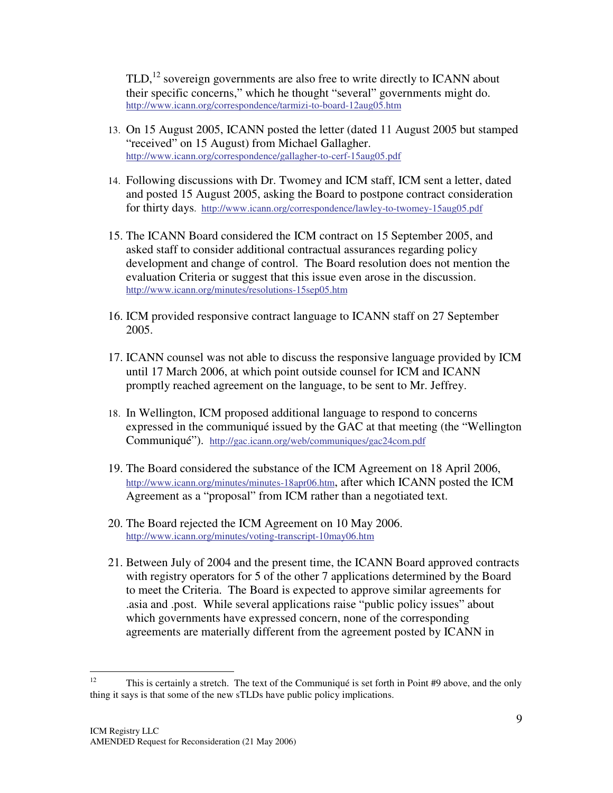$TLD<sub>1</sub><sup>12</sup>$  sovereign governments are also free to write directly to ICANN about their specific concerns," which he thought "several" governments might do. http://www.icann.org/correspondence/tarmizi-to-board-12aug05.htm

- 13. On 15 August 2005, ICANN posted the letter (dated 11 August 2005 but stamped "received" on 15 August) from Michael Gallagher. http://www.icann.org/correspondence/gallagher-to-cerf-15aug05.pdf
- 14. Following discussions with Dr. Twomey and ICM staff, ICM sent a letter, dated and posted 15 August 2005, asking the Board to postpone contract consideration for thirty days. http://www.icann.org/correspondence/lawley-to-twomey-15aug05.pdf
- 15. The ICANN Board considered the ICM contract on 15 September 2005, and asked staff to consider additional contractual assurances regarding policy development and change of control. The Board resolution does not mention the evaluation Criteria or suggest that this issue even arose in the discussion. http://www.icann.org/minutes/resolutions-15sep05.htm
- 16. ICM provided responsive contract language to ICANN staff on 27 September 2005.
- 17. ICANN counsel was not able to discuss the responsive language provided by ICM until 17 March 2006, at which point outside counsel for ICM and ICANN promptly reached agreement on the language, to be sent to Mr. Jeffrey.
- 18. In Wellington, ICM proposed additional language to respond to concerns expressed in the communiqué issued by the GAC at that meeting (the "Wellington" Communiqué"). http://gac.icann.org/web/communiques/gac24com.pdf
- 19. The Board considered the substance of the ICM Agreement on 18 April 2006, http://www.icann.org/minutes/minutes-18apr06.htm, after which ICANN posted the ICM Agreement as a "proposal" from ICM rather than a negotiated text.
- 20. The Board rejected the ICM Agreement on 10 May 2006. http://www.icann.org/minutes/voting-transcript-10may06.htm
- 21. Between July of 2004 and the present time, the ICANN Board approved contracts with registry operators for 5 of the other 7 applications determined by the Board to meet the Criteria. The Board is expected to approve similar agreements for .asia and .post. While several applications raise " public policy issues" about which governments have expressed concern, none of the corresponding agreements are materially different from the agreement posted by ICANN in

 $12$ <sup>12</sup> This is certainly a stretch. The text of the Communiqué is set forth in Point #9 above, and the only thing it says is that some of the new sTLDs have public policy implications.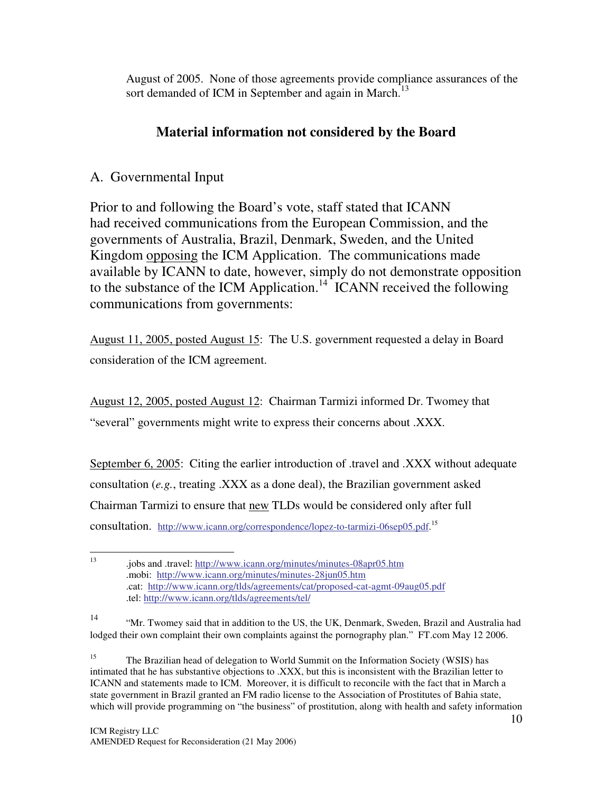August of 2005. None of those agreements provide compliance assurances of the sort demanded of ICM in September and again in March.<sup>13</sup>

## **Material information not considered by the Board**

### A. Governmental Input

Prior to and following the Board's vote, staff stated that ICANN had received communications from the European Commission, and the governments of Australia, Brazil, Denmark, Sweden, and the United Kingdom opposing the ICM Application. The communications made available by ICANN to date, however, simply do not demonstrate opposition to the substance of the ICM Application.<sup>14 ICANN</sup> received the following communications from governments:

August 11, 2005, posted August 15: The U.S. government requested a delay in Board consideration of the ICM agreement.

August 12, 2005, posted August 12: Chairman Tarmizi informed Dr. Twomey that "several" governments might write to express their concerns about .XXX.

September 6, 2005: Citing the earlier introduction of .travel and .XXX without adequate consultation (*e.g.*, treating .XXX as a done deal), the Brazilian government asked Chairman Tarmizi to ensure that new TLDs would be considered only after full consultation. http://www.icann.org/correspondence/lopez-to-tarmizi-06sep05.pdf.<sup>15</sup>

<sup>15</sup> The Brazilian head of delegation to World Summit on the Information Society (WSIS) has intimated that he has substantive objections to .XXX, but this is inconsistent with the Brazilian letter to ICANN and statements made to ICM. Moreover, it is difficult to reconcile with the fact that in March a state government in Brazil granted an FM radio license to the Association of Prostitutes of Bahia state, which will provide programming on "the business" of prostitution, along with health and safety information

 $\frac{1}{13}$ .jobs and .travel: http://www.icann.org/minutes/minutes-08apr05.htm .mobi: http://www.icann.org/minutes/minutes-28jun05.htm .cat: http://www.icann.org/tlds/agreements/cat/proposed-cat-agmt-09aug05.pdf .tel: http://www.icann.org/tlds/agreements/tel/

<sup>14</sup> " Mr. Twomey said that in addition to the US, the UK, Denmark, Sweden, Brazil and Australia had lodged their own complaint their own complaints against the pornography plan." FT.com May 12 2006.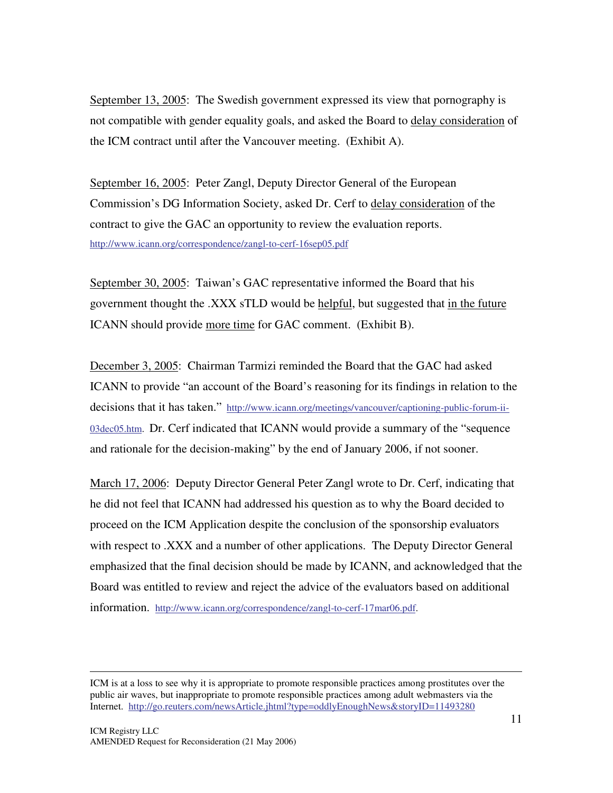September 13, 2005: The Swedish government expressed its view that pornography is not compatible with gender equality goals, and asked the Board to delay consideration of the ICM contract until after the Vancouver meeting. (Exhibit A).

September 16, 2005: Peter Zangl, Deputy Director General of the European Commission's DG Information Society, asked Dr. Cerf to delay consideration of the contract to give the GAC an opportunity to review the evaluation reports. http://www.icann.org/correspondence/zangl-to-cerf-16sep05.pdf

September 30, 2005: Taiwan's GAC representative informed the Board that his government thought the .XXX sTLD would be helpful, but suggested that in the future ICANN should provide more time for GAC comment. (Exhibit B).

December 3, 2005: Chairman Tarmizi reminded the Board that the GAC had asked ICANN to provide "an account of the Board's reasoning for its findings in relation to the decisions that it has taken." http://www.icann.org/meetings/vancouver/captioning-public-forum-ii-03dec05.htm. Dr. Cerf indicated that ICANN would provide a summary of the "sequence and rationale for the decision-making" by the end of January 2006, if not sooner.

March 17, 2006: Deputy Director General Peter Zangl wrote to Dr. Cerf, indicating that he did not feel that ICANN had addressed his question as to why the Board decided to proceed on the ICM Application despite the conclusion of the sponsorship evaluators with respect to .XXX and a number of other applications. The Deputy Director General emphasized that the final decision should be made by ICANN, and acknowledged that the Board was entitled to review and reject the advice of the evaluators based on additional information. http://www.icann.org/correspondence/zangl-to-cerf-17mar06.pdf.

-

ICM is at a loss to see why it is appropriate to promote responsible practices among prostitutes over the public air waves, but inappropriate to promote responsible practices among adult webmasters via the Internet. http://go.reuters.com/newsArticle.jhtml?type=oddlyEnoughNews&storyID=11493280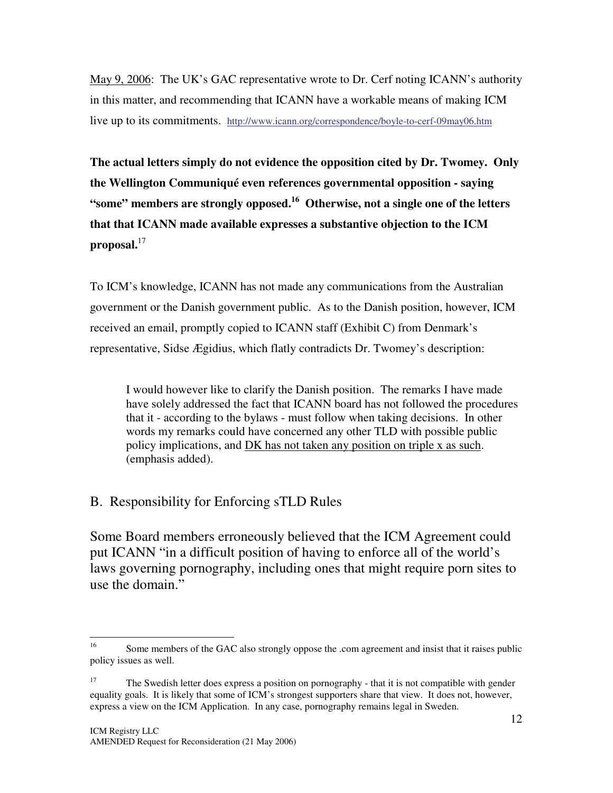May 9, 2006: The UK's GAC representative wrote to Dr. Cerf noting ICANN's authority in this matter, and recommending that ICANN have a workable means of making ICM live up to its commitments. http://www.icann.org/correspondence/boyle-to-cerf-09may06.htm

**The actual letters simply do not evidence the opposition cited by Dr. Twomey. Only the Wellington Communiqué even references governmental opposition - saying "some" members are strongly opposed. <sup>16</sup> Otherwise, not a single one of the letters that that ICANN made available expresses a substantive objection to the ICM proposal.** 17

To ICM's knowledge, ICANN has not made any communications from the Australian government or the Danish government public. As to the Danish position, however, ICM received an email, promptly copied to ICANN staff (Exhibit C) from Denmark's representative, Sidse Ægidius, which flatly contradicts Dr. Twomey's description:

I would however like to clarify the Danish position. The remarks I have made have solely addressed the fact that ICANN board has not followed the procedures that it - according to the bylaws - must follow when taking decisions. In other words my remarks could have concerned any other TLD with possible public policy implications, and DK has not taken any position on triple x as such. (emphasis added).

### B. Responsibility for Enforcing sTLD Rules

Some Board members erroneously believed that the ICM Agreement could put ICANN "in a difficult position of having to enforce all of the world's laws governing pornography, including ones that might require porn sites to use the domain."

 $\frac{1}{16}$ Some members of the GAC also strongly oppose the .com agreement and insist that it raises public policy issues as well.

<sup>&</sup>lt;sup>17</sup> The Swedish letter does express a position on pornography - that it is not compatible with gender equality goals. It is likely that some of ICM's strongest supporters share that view. It does not, however, express a view on the ICM Application. In any case, pornography remains legal in Sweden.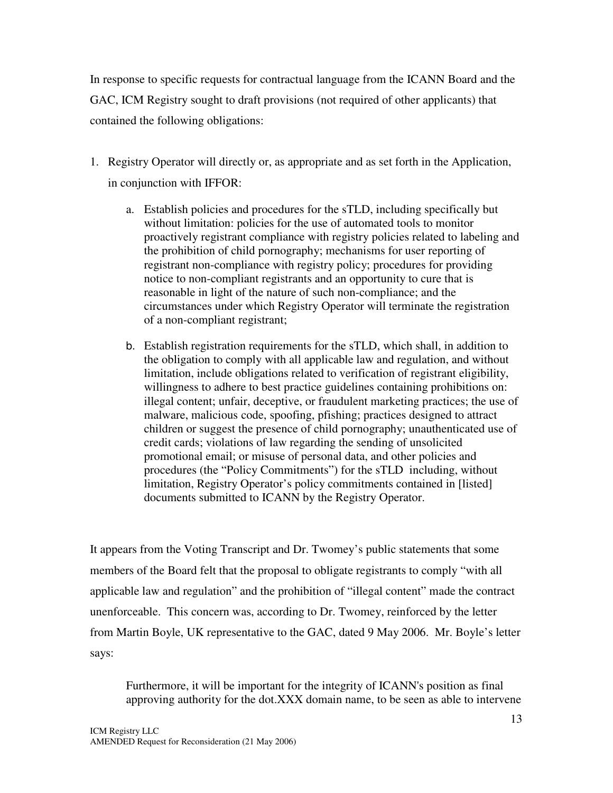In response to specific requests for contractual language from the ICANN Board and the GAC, ICM Registry sought to draft provisions (not required of other applicants) that contained the following obligations:

- 1. Registry Operator will directly or, as appropriate and as set forth in the Application, in conjunction with IFFOR:
	- a. Establish policies and procedures for the sTLD, including specifically but without limitation: policies for the use of automated tools to monitor proactively registrant compliance with registry policies related to labeling and the prohibition of child pornography; mechanisms for user reporting of registrant non-compliance with registry policy; procedures for providing notice to non-compliant registrants and an opportunity to cure that is reasonable in light of the nature of such non-compliance; and the circumstances under which Registry Operator will terminate the registration of a non-compliant registrant;
	- b. Establish registration requirements for the sTLD, which shall, in addition to the obligation to comply with all applicable law and regulation, and without limitation, include obligations related to verification of registrant eligibility, willingness to adhere to best practice guidelines containing prohibitions on: illegal content; unfair, deceptive, or fraudulent marketing practices; the use of malware, malicious code, spoofing, pfishing; practices designed to attract children or suggest the presence of child pornography; unauthenticated use of credit cards; violations of law regarding the sending of unsolicited promotional email; or misuse of personal data, and other policies and procedures (the "Policy Commitments") for the sTLD including, without limitation, Registry Operator's policy commitments contained in [listed] documents submitted to ICANN by the Registry Operator.

It appears from the Voting Transcript and Dr. Twomey's public statements that some members of the Board felt that the proposal to obligate registrants to comply "with all applicable law and regulation" and the prohibition of "illegal content" made the contract unenforceable. This concern was, according to Dr. Twomey, reinforced by the letter from Martin Boyle, UK representative to the GAC, dated 9 May 2006. Mr. Boyle's letter says:

Furthermore, it will be important for the integrity of ICANN's position as final approving authority for the dot.XXX domain name, to be seen as able to intervene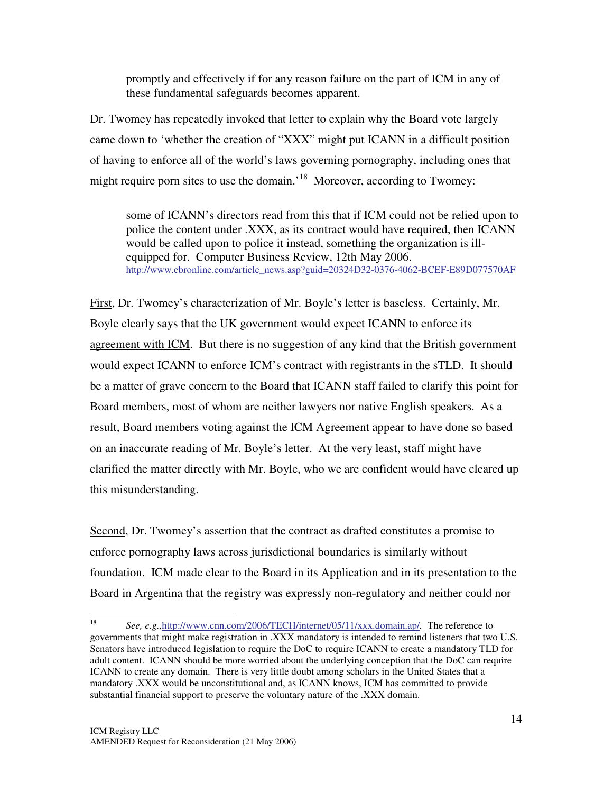promptly and effectively if for any reason failure on the part of ICM in any of these fundamental safeguards becomes apparent.

Dr. Twomey has repeatedly invoked that letter to explain why the Board vote largely came down to 'whether the creation of "XXX" might put ICANN in a difficult position of having to enforce all of the world's laws governing pornography, including ones that might require porn sites to use the domain.<sup>'18</sup> Moreover, according to Twomey:

some of ICANN's directors read from this that if ICM could not be relied upon to police the content under .XXX, as its contract would have required, then ICANN would be called upon to police it instead, something the organization is illequipped for. Computer Business Review, 12th May 2006. http://www.cbronline.com/article\_news.asp?guid=20324D32-0376-4062-BCEF-E89D077570AF

First, Dr. Twomey's characterization of Mr. Boyle's letter is baseless. Certainly, Mr. Boyle clearly says that the UK government would expect ICANN to enforce its agreement with ICM. But there is no suggestion of any kind that the British government would expect ICANN to enforce ICM's contract with registrants in the sTLD. It should be a matter of grave concern to the Board that ICANN staff failed to clarify this point for Board members, most of whom are neither lawyers nor native English speakers. As a result, Board members voting against the ICM Agreement appear to have done so based on an inaccurate reading of Mr. Boyle's letter. At the very least, staff might have clarified the matter directly with Mr. Boyle, who we are confident would have cleared up this misunderstanding.

Second, Dr. Twomey's assertion that the contract as drafted constitutes a promise to enforce pornography laws across jurisdictional boundaries is similarly without foundation. ICM made clear to the Board in its Application and in its presentation to the Board in Argentina that the registry was expressly non-regulatory and neither could nor

 $\frac{1}{18}$ *See, e.g.,*http://www.cnn.com/2006/TECH/internet/05/11/xxx.domain.ap/*.* The reference to governments that might make registration in .XXX mandatory is intended to remind listeners that two U.S. Senators have introduced legislation to require the DoC to require ICANN to create a mandatory TLD for adult content. ICANN should be more worried about the underlying conception that the DoC can require ICANN to create any domain. There is very little doubt among scholars in the United States that a mandatory .XXX would be unconstitutional and, as ICANN knows, ICM has committed to provide substantial financial support to preserve the voluntary nature of the .XXX domain.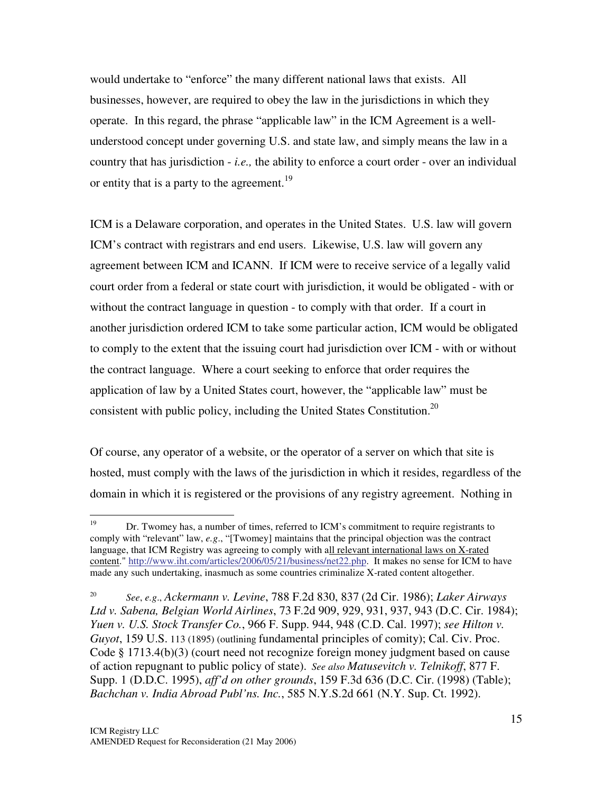would undertake to "enforce" the many different national laws that exists. All businesses, however, are required to obey the law in the jurisdictions in which they operate. In this regard, the phrase " applicable law" in the ICM Agreement is a wellunderstood concept under governing U.S. and state law, and simply means the law in a country that has jurisdiction - *i.e.,* the ability to enforce a court order - over an individual or entity that is a party to the agreement.<sup>19</sup>

ICM is a Delaware corporation, and operates in the United States. U.S. law will govern ICM's contract with registrars and end users. Likewise, U.S. law will govern any agreement between ICM and ICANN. If ICM were to receive service of a legally valid court order from a federal or state court with jurisdiction, it would be obligated - with or without the contract language in question - to comply with that order. If a court in another jurisdiction ordered ICM to take some particular action, ICM would be obligated to comply to the extent that the issuing court had jurisdiction over ICM - with or without the contract language. Where a court seeking to enforce that order requires the application of law by a United States court, however, the " applicable law" must be consistent with public policy, including the United States Constitution. 20

Of course, any operator of a website, or the operator of a server on which that site is hosted, must comply with the laws of the jurisdiction in which it resides, regardless of the domain in which it is registered or the provisions of any registry agreement. Nothing in

<sup>19</sup> <sup>19</sup> Dr. Twomey has, a number of times, referred to ICM's commitment to require registrants to comply with "relevant" law, *e.g*., "[Twomey] maintains that the principal objection was the contract language, that ICM Registry was agreeing to comply with all relevant international laws on X-rated content." http://www.iht.com/articles/2006/05/21/business/net22.php. It makes no sense for ICM to have made any such undertaking, inasmuch as some countries criminalize X-rated content altogether.

<sup>20</sup> *See*, *e.g*., *Ackermann v. Levine*, 788 F.2d 830, 837 (2d Cir. 1986); *Laker Airways Ltd v. Sabena, Belgian World Airlines*, 73 F.2d 909, 929, 931, 937, 943 (D.C. Cir. 1984); *Yuen v. U.S. Stock Transfer Co.*, 966 F. Supp. 944, 948 (C.D. Cal. 1997); *see Hilton v. Guyot*, 159 U.S. 113 (1895) (outlining fundamental principles of comity); Cal. Civ. Proc. Code § 1713.4(b)(3) (court need not recognize foreign money judgment based on cause of action repugnant to public policy of state). *See also Matusevitch v. Telnikoff*, 877 F. Supp. 1 (D.D.C. 1995), *aff'd on other grounds*, 159 F.3d 636 (D.C. Cir. (1998) (Table); *Bachchan v. India Abroad Publ'ns. Inc.*, 585 N.Y.S.2d 661 (N.Y. Sup. Ct. 1992).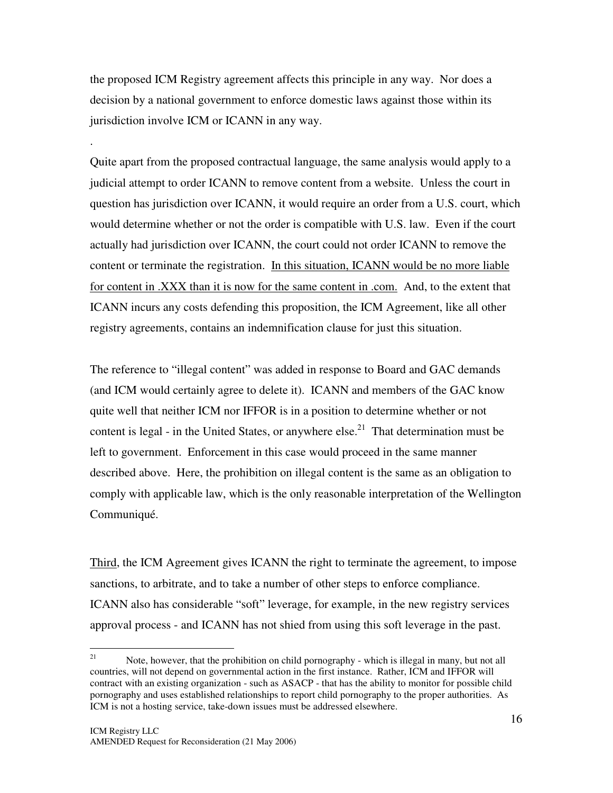the proposed ICM Registry agreement affects this principle in any way. Nor does a decision by a national government to enforce domestic laws against those within its jurisdiction involve ICM or ICANN in any way.

.

Quite apart from the proposed contractual language, the same analysis would apply to a judicial attempt to order ICANN to remove content from a website. Unless the court in question has jurisdiction over ICANN, it would require an order from a U.S. court, which would determine whether or not the order is compatible with U.S. law. Even if the court actually had jurisdiction over ICANN, the court could not order ICANN to remove the content or terminate the registration. In this situation, ICANN would be no more liable for content in .XXX than it is now for the same content in .com. And, to the extent that ICANN incurs any costs defending this proposition, the ICM Agreement, like all other registry agreements, contains an indemnification clause for just this situation.

The reference to "illegal content" was added in response to Board and GAC demands (and ICM would certainly agree to delete it). ICANN and members of the GAC know quite well that neither ICM nor IFFOR is in a position to determine whether or not content is legal - in the United States, or anywhere  $else.<sup>21</sup>$  That determination must be left to government. Enforcement in this case would proceed in the same manner described above. Here, the prohibition on illegal content is the same as an obligation to comply with applicable law, which is the only reasonable interpretation of the Wellington Communiqué.

Third, the ICM Agreement gives ICANN the right to terminate the agreement, to impose sanctions, to arbitrate, and to take a number of other steps to enforce compliance. ICANN also has considerable "soft" leverage, for example, in the new registry services approval process - and ICANN has not shied from using this soft leverage in the past.

<sup>21</sup> Note, however, that the prohibition on child pornography - which is illegal in many, but not all countries, will not depend on governmental action in the first instance. Rather, ICM and IFFOR will contract with an existing organization - such as ASACP - that has the ability to monitor for possible child pornography and uses established relationships to report child pornography to the proper authorities. As ICM is not a hosting service, take-down issues must be addressed elsewhere.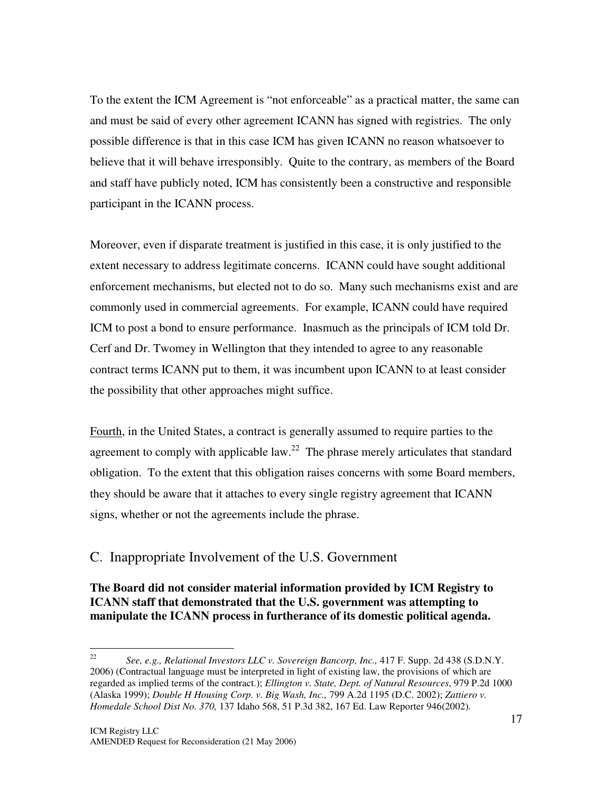To the extent the ICM Agreement is " not enforceable" as a practical matter, the same can and must be said of every other agreement ICANN has signed with registries. The only possible difference is that in this case ICM has given ICANN no reason whatsoever to believe that it will behave irresponsibly. Quite to the contrary, as members of the Board and staff have publicly noted, ICM has consistently been a constructive and responsible participant in the ICANN process.

Moreover, even if disparate treatment is justified in this case, it is only justified to the extent necessary to address legitimate concerns. ICANN could have sought additional enforcement mechanisms, but elected not to do so. Many such mechanisms exist and are commonly used in commercial agreements. For example, ICANN could have required ICM to post a bond to ensure performance. Inasmuch as the principals of ICM told Dr. Cerf and Dr. Twomey in Wellington that they intended to agree to any reasonable contract terms ICANN put to them, it was incumbent upon ICANN to at least consider the possibility that other approaches might suffice.

Fourth, in the United States, a contract is generally assumed to require parties to the agreement to comply with applicable  $law<sup>22</sup>$ . The phrase merely articulates that standard obligation. To the extent that this obligation raises concerns with some Board members, they should be aware that it attaches to every single registry agreement that ICANN signs, whether or not the agreements include the phrase.

#### C. Inappropriate Involvement of the U.S. Government

**The Board did not consider material information provided by ICM Registry to ICANN staff that demonstrated that the U.S. government was attempting to manipulate the ICANN process in furtherance of its domestic political agenda.**

 $\frac{1}{22}$ *See, e.g., Relational Investors LLC v. Sovereign Bancorp, Inc.,* 417 F. Supp. 2d 438 (S.D.N.Y. 2006) (Contractual language must be interpreted in light of existing law, the provisions of which are regarded as implied terms of the contract.); *Ellington v. State, Dept. of Natural Resources*, 979 P.2d 1000 (Alaska 1999); *Double H Housing Corp. v. Big Wash, Inc.,* 799 A.2d 1195 (D.C. 2002); *Zattiero v. Homedale School Dist No. 370,* 137 Idaho 568, 51 P.3d 382, 167 Ed. Law Reporter 946(2002)*.*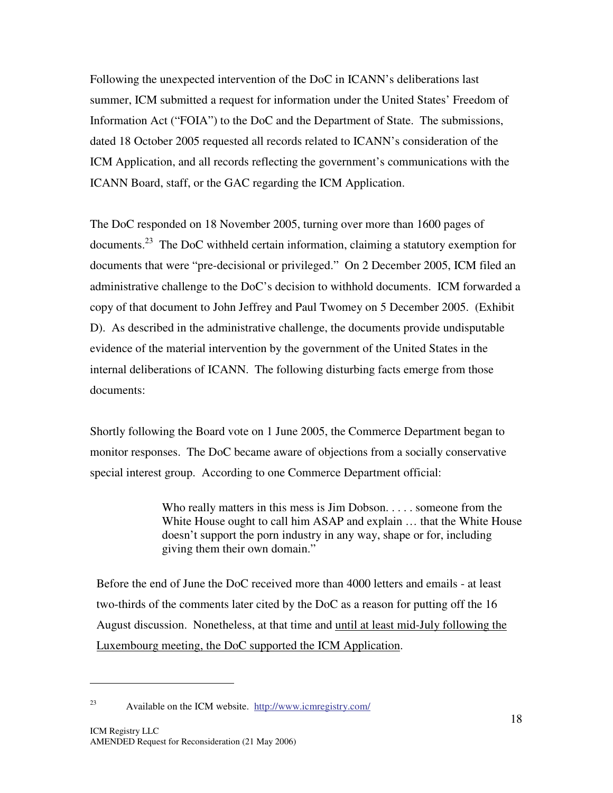Following the unexpected intervention of the DoC in ICANN's deliberations last summer, ICM submitted a request for information under the United States' Freedom of Information Act ("FOIA") to the DoC and the Department of State. The submissions, dated 18 October 2005 requested all records related to ICANN's consideration of the ICM Application, and all records reflecting the government's communications with the ICANN Board, staff, or the GAC regarding the ICM Application.

The DoC responded on 18 November 2005, turning over more than 1600 pages of documents.<sup>23</sup> The DoC withheld certain information, claiming a statutory exemption for documents that were "pre-decisional or privileged." On 2 December 2005, ICM filed an administrative challenge to the DoC's decision to withhold documents. ICM forwarded a copy of that document to John Jeffrey and Paul Twomey on 5 December 2005. (Exhibit D). As described in the administrative challenge, the documents provide undisputable evidence of the material intervention by the government of the United States in the internal deliberations of ICANN. The following disturbing facts emerge from those documents:

Shortly following the Board vote on 1 June 2005, the Commerce Department began to monitor responses. The DoC became aware of objections from a socially conservative special interest group. According to one Commerce Department official:

> Who really matters in this mess is Jim Dobson. . . . . someone from the White House ought to call him ASAP and explain … that the White House doesn't support the porn industry in any way, shape or for, including giving them their own domain."

Before the end of June the DoC received more than 4000 letters and emails - at least two-thirds of the comments later cited by the DoC as a reason for putting off the 16 August discussion. Nonetheless, at that time and until at least mid-July following the Luxembourg meeting, the DoC supported the ICM Application.

<sup>&</sup>lt;u>.</u>

<sup>23</sup> Available on the ICM website. http://www.icmregistry.com/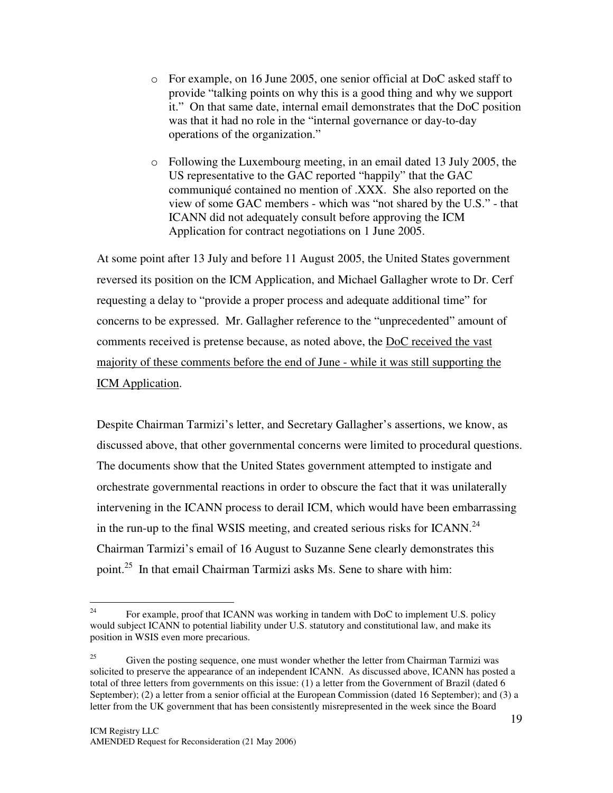- o For example, on 16 June 2005, one senior official at DoC asked staff to provide " talking points on why this is a good thing and why we support it." On that same date, internal email demonstrates that the DoC position was that it had no role in the "internal governance or day-to-day operations of the organization."
- o Following the Luxembourg meeting, in an email dated 13 July 2005, the US representative to the GAC reported "happily" that the GAC communiqué contained no mention of .XXX. She also reported on the view of some GAC members - which was " not shared by the U.S." - that ICANN did not adequately consult before approving the ICM Application for contract negotiations on 1 June 2005.

At some point after 13 July and before 11 August 2005, the United States government reversed its position on the ICM Application, and Michael Gallagher wrote to Dr. Cerf requesting a delay to "provide a proper process and adequate additional time" for concerns to be expressed. Mr. Gallagher reference to the " unprecedented" amount of comments received is pretense because, as noted above, the DoC received the vast majority of these comments before the end of June - while it was still supporting the ICM Application.

Despite Chairman Tarmizi's letter, and Secretary Gallagher's assertions, we know, as discussed above, that other governmental concerns were limited to procedural questions. The documents show that the United States government attempted to instigate and orchestrate governmental reactions in order to obscure the fact that it was unilaterally intervening in the ICANN process to derail ICM, which would have been embarrassing in the run-up to the final WSIS meeting, and created serious risks for ICANN.<sup>24</sup> Chairman Tarmizi's email of 16 August to Suzanne Sene clearly demonstrates this point.<sup>25</sup> In that email Chairman Tarmizi asks Ms. Sene to share with him:

 $\frac{1}{24}$ For example, proof that ICANN was working in tandem with DoC to implement U.S. policy would subject ICANN to potential liability under U.S. statutory and constitutional law, and make its position in WSIS even more precarious.

 $^{25}$  Given the posting sequence, one must wonder whether the letter from Chairman Tarmizi was solicited to preserve the appearance of an independent ICANN. As discussed above, ICANN has posted a total of three letters from governments on this issue: (1) a letter from the Government of Brazil (dated 6 September); (2) a letter from a senior official at the European Commission (dated 16 September); and (3) a letter from the UK government that has been consistently misrepresented in the week since the Board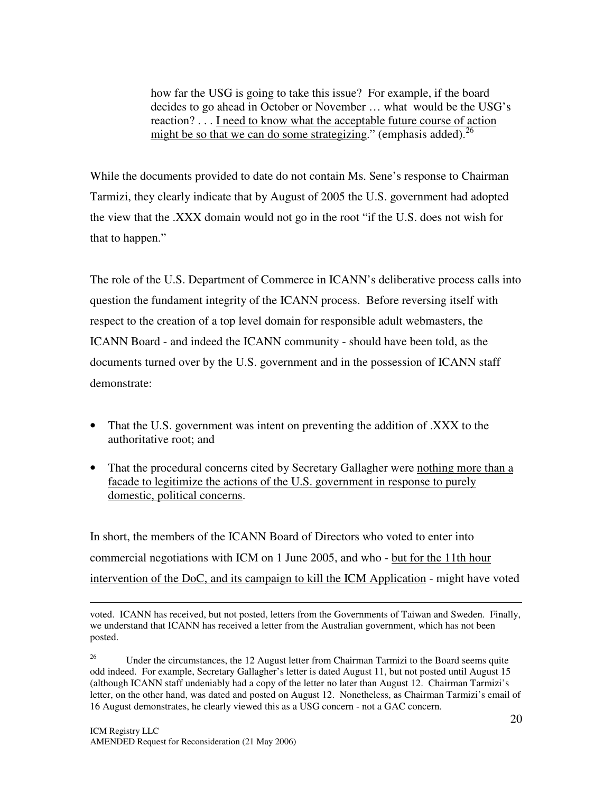how far the USG is going to take this issue? For example, if the board decides to go ahead in October or November … what would be the USG's reaction? . . . I need to know what the acceptable future course of action might be so that we can do some strategizing." (emphasis added).<sup>26</sup>

While the documents provided to date do not contain Ms. Sene's response to Chairman Tarmizi, they clearly indicate that by August of 2005 the U.S. government had adopted the view that the .XXX domain would not go in the root " if the U.S. does not wish for that to happen."

The role of the U.S. Department of Commerce in ICANN's deliberative process calls into question the fundament integrity of the ICANN process. Before reversing itself with respect to the creation of a top level domain for responsible adult webmasters, the ICANN Board - and indeed the ICANN community - should have been told, as the documents turned over by the U.S. government and in the possession of ICANN staff demonstrate:

- That the U.S. government was intent on preventing the addition of .XXX to the authoritative root; and
- That the procedural concerns cited by Secretary Gallagher were nothing more than a facade to legitimize the actions of the U.S. government in response to purely domestic, political concerns.

In short, the members of the ICANN Board of Directors who voted to enter into commercial negotiations with ICM on 1 June 2005, and who - but for the 11th hour intervention of the DoC, and its campaign to kill the ICM Application - might have voted

voted. ICANN has received, but not posted, letters from the Governments of Taiwan and Sweden. Finally, we understand that ICANN has received a letter from the Australian government, which has not been posted.

<sup>&</sup>lt;sup>26</sup> Under the circumstances, the 12 August letter from Chairman Tarmizi to the Board seems quite odd indeed. For example, Secretary Gallagher's letter is dated August 11, but not posted until August 15 (although ICANN staff undeniably had a copy of the letter no later than August 12. Chairman Tarmizi's letter, on the other hand, was dated and posted on August 12. Nonetheless, as Chairman Tarmizi's email of 16 August demonstrates, he clearly viewed this as a USG concern - not a GAC concern.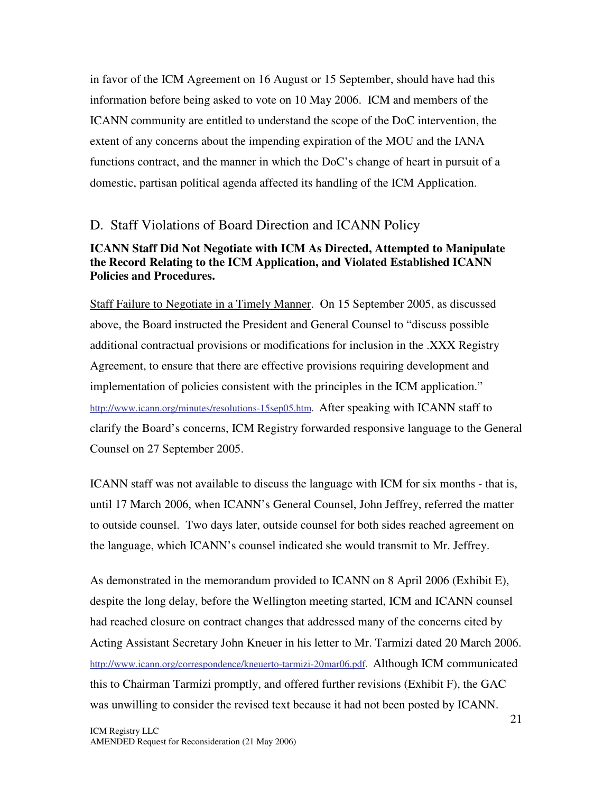in favor of the ICM Agreement on 16 August or 15 September, should have had this information before being asked to vote on 10 May 2006. ICM and members of the ICANN community are entitled to understand the scope of the DoC intervention, the extent of any concerns about the impending expiration of the MOU and the IANA functions contract, and the manner in which the DoC's change of heart in pursuit of a domestic, partisan political agenda affected its handling of the ICM Application.

#### D. Staff Violations of Board Direction and ICANN Policy

#### **ICANN Staff Did Not Negotiate with ICM As Directed, Attempted to Manipulate the Record Relating to the ICM Application, and Violated Established ICANN Policies and Procedures.**

Staff Failure to Negotiate in a Timely Manner. On 15 September 2005, as discussed above, the Board instructed the President and General Counsel to " discuss possible additional contractual provisions or modifications for inclusion in the .XXX Registry Agreement, to ensure that there are effective provisions requiring development and implementation of policies consistent with the principles in the ICM application." http://www.icann.org/minutes/resolutions-15sep05.htm. After speaking with ICANN staff to clarify the Board's concerns, ICM Registry forwarded responsive language to the General Counsel on 27 September 2005.

ICANN staff was not available to discuss the language with ICM for six months - that is, until 17 March 2006, when ICANN's General Counsel, John Jeffrey, referred the matter to outside counsel. Two days later, outside counsel for both sides reached agreement on the language, which ICANN's counsel indicated she would transmit to Mr. Jeffrey.

As demonstrated in the memorandum provided to ICANN on 8 April 2006 (Exhibit E), despite the long delay, before the Wellington meeting started, ICM and ICANN counsel had reached closure on contract changes that addressed many of the concerns cited by Acting Assistant Secretary John Kneuer in his letter to Mr. Tarmizi dated 20 March 2006. http://www.icann.org/correspondence/kneuerto-tarmizi-20mar06.pdf. Although ICM communicated this to Chairman Tarmizi promptly, and offered further revisions (Exhibit F), the GAC was unwilling to consider the revised text because it had not been posted by ICANN.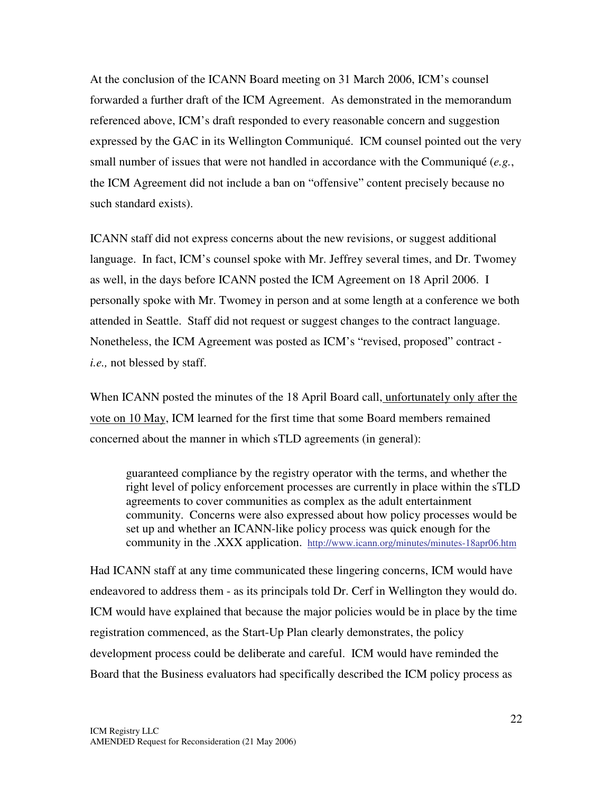At the conclusion of the ICANN Board meeting on 31 March 2006, ICM's counsel forwarded a further draft of the ICM Agreement. As demonstrated in the memorandum referenced above, ICM's draft responded to every reasonable concern and suggestion expressed by the GAC in its Wellington Communiqué. ICM counsel pointed out the very small number of issues that were not handled in accordance with the Communiqué (*e.g.*, the ICM Agreement did not include a ban on " offensive" content precisely because no such standard exists).

ICANN staff did not express concerns about the new revisions, or suggest additional language. In fact, ICM's counsel spoke with Mr. Jeffrey several times, and Dr. Twomey as well, in the days before ICANN posted the ICM Agreement on 18 April 2006. I personally spoke with Mr. Twomey in person and at some length at a conference we both attended in Seattle. Staff did not request or suggest changes to the contract language. Nonetheless, the ICM Agreement was posted as ICM's "revised, proposed" contract *i.e.,* not blessed by staff.

When ICANN posted the minutes of the 18 April Board call, unfortunately only after the vote on 10 May, ICM learned for the first time that some Board members remained concerned about the manner in which sTLD agreements (in general):

guaranteed compliance by the registry operator with the terms, and whether the right level of policy enforcement processes are currently in place within the sTLD agreements to cover communities as complex as the adult entertainment community. Concerns were also expressed about how policy processes would be set up and whether an ICANN-like policy process was quick enough for the community in the .XXX application. http://www.icann.org/minutes/minutes-18apr06.htm

Had ICANN staff at any time communicated these lingering concerns, ICM would have endeavored to address them - as its principals told Dr. Cerf in Wellington they would do. ICM would have explained that because the major policies would be in place by the time registration commenced, as the Start-Up Plan clearly demonstrates, the policy development process could be deliberate and careful. ICM would have reminded the Board that the Business evaluators had specifically described the ICM policy process as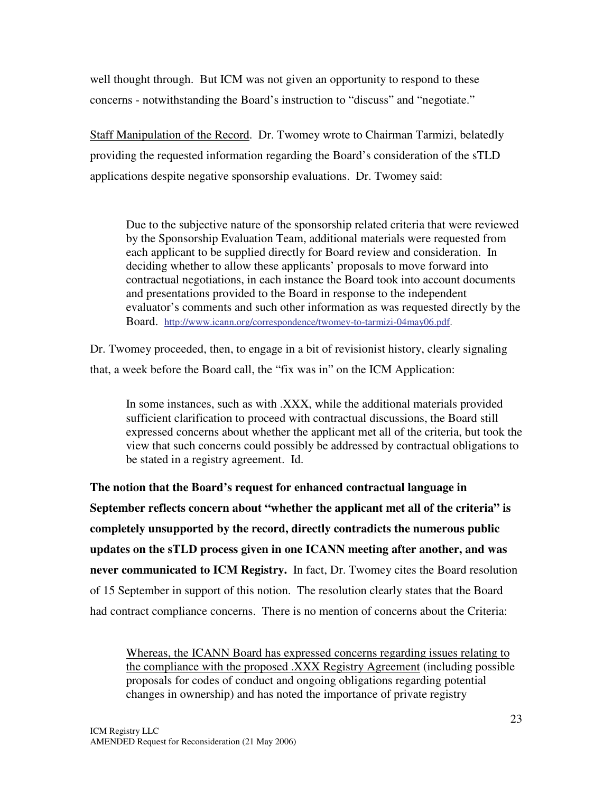well thought through. But ICM was not given an opportunity to respond to these concerns - notwithstanding the Board's instruction to " discuss" and " negotiate."

Staff Manipulation of the Record. Dr. Twomey wrote to Chairman Tarmizi, belatedly providing the requested information regarding the Board's consideration of the sTLD applications despite negative sponsorship evaluations. Dr. Twomey said:

Due to the subjective nature of the sponsorship related criteria that were reviewed by the Sponsorship Evaluation Team, additional materials were requested from each applicant to be supplied directly for Board review and consideration. In deciding whether to allow these applicants' proposals to move forward into contractual negotiations, in each instance the Board took into account documents and presentations provided to the Board in response to the independent evaluator's comments and such other information as was requested directly by the Board. http://www.icann.org/correspondence/twomey-to-tarmizi-04may06.pdf.

Dr. Twomey proceeded, then, to engage in a bit of revisionist history, clearly signaling that, a week before the Board call, the "fix was in" on the ICM Application:

In some instances, such as with .XXX, while the additional materials provided sufficient clarification to proceed with contractual discussions, the Board still expressed concerns about whether the applicant met all of the criteria, but took the view that such concerns could possibly be addressed by contractual obligations to be stated in a registry agreement. Id.

**The notion that the Board's request for enhanced contractual language in September reflects concern about "whether the applicant met all of the criteria" is completely unsupported by the record, directly contradicts the numerous public updates on the sTLD process given in one ICANN meeting after another, and was never communicated to ICM Registry.** In fact, Dr. Twomey cites the Board resolution of 15 September in support of this notion. The resolution clearly states that the Board had contract compliance concerns. There is no mention of concerns about the Criteria:

Whereas, the ICANN Board has expressed concerns regarding issues relating to the compliance with the proposed .XXX Registry Agreement (including possible proposals for codes of conduct and ongoing obligations regarding potential changes in ownership) and has noted the importance of private registry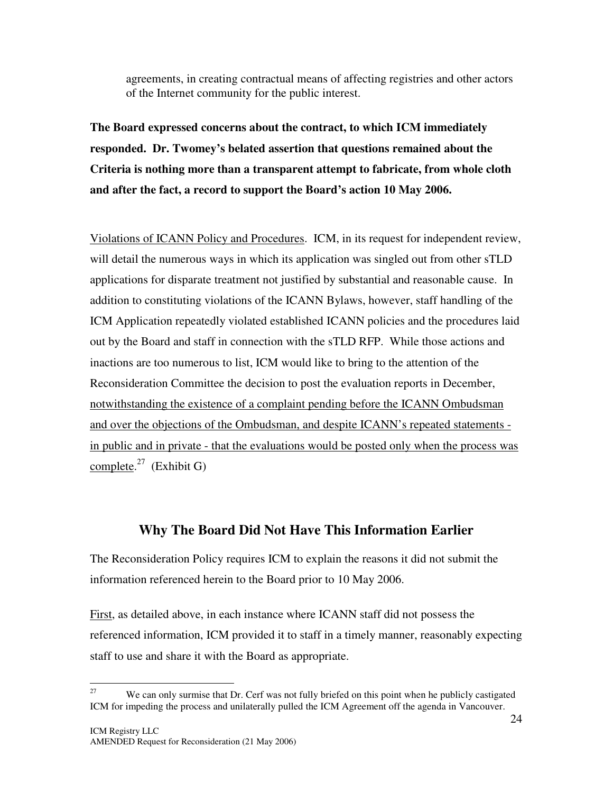agreements, in creating contractual means of affecting registries and other actors of the Internet community for the public interest.

**The Board expressed concerns about the contract, to which ICM immediately responded. Dr. Twomey's belated assertion that questions remained about the Criteria is nothing more than a transparent attempt to fabricate, from whole cloth and after the fact, a record to support the Board's action 10 May 2006.**

Violations of ICANN Policy and Procedures. ICM, in its request for independent review, will detail the numerous ways in which its application was singled out from other sTLD applications for disparate treatment not justified by substantial and reasonable cause. In addition to constituting violations of the ICANN Bylaws, however, staff handling of the ICM Application repeatedly violated established ICANN policies and the procedures laid out by the Board and staff in connection with the sTLD RFP. While those actions and inactions are too numerous to list, ICM would like to bring to the attention of the Reconsideration Committee the decision to post the evaluation reports in December, notwithstanding the existence of a complaint pending before the ICANN Ombudsman and over the objections of the Ombudsman, and despite ICANN's repeated statements in public and in private - that the evaluations would be posted only when the process was complete.<sup>27</sup> (Exhibit G)

### **Why The Board Did Not Have This Information Earlier**

The Reconsideration Policy requires ICM to explain the reasons it did not submit the information referenced herein to the Board prior to 10 May 2006.

First, as detailed above, in each instance where ICANN staff did not possess the referenced information, ICM provided it to staff in a timely manner, reasonably expecting staff to use and share it with the Board as appropriate.

<sup>27</sup> We can only surmise that Dr. Cerf was not fully briefed on this point when he publicly castigated ICM for impeding the process and unilaterally pulled the ICM Agreement off the agenda in Vancouver.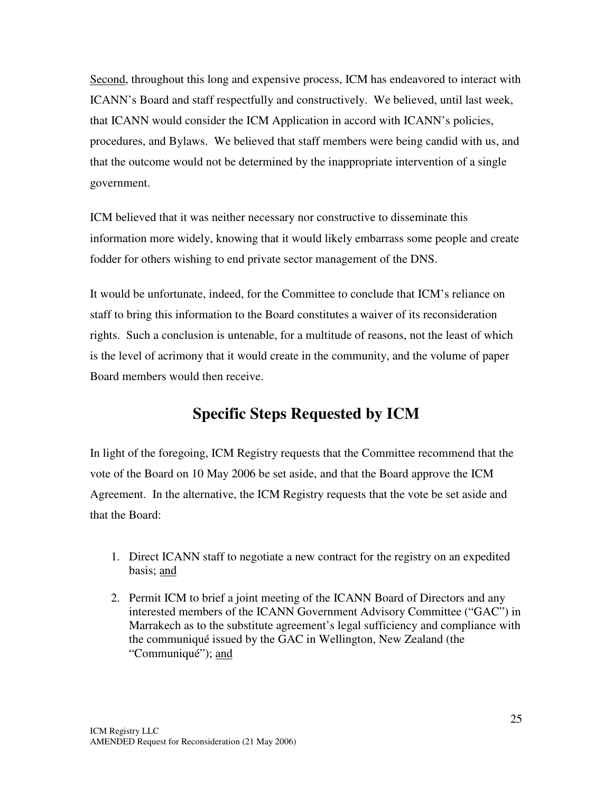Second, throughout this long and expensive process, ICM has endeavored to interact with ICANN's Board and staff respectfully and constructively. We believed, until last week, that ICANN would consider the ICM Application in accord with ICANN's policies, procedures, and Bylaws. We believed that staff members were being candid with us, and that the outcome would not be determined by the inappropriate intervention of a single government.

ICM believed that it was neither necessary nor constructive to disseminate this information more widely, knowing that it would likely embarrass some people and create fodder for others wishing to end private sector management of the DNS.

It would be unfortunate, indeed, for the Committee to conclude that ICM's reliance on staff to bring this information to the Board constitutes a waiver of its reconsideration rights. Such a conclusion is untenable, for a multitude of reasons, not the least of which is the level of acrimony that it would create in the community, and the volume of paper Board members would then receive.

# **Specific Steps Requested by ICM**

In light of the foregoing, ICM Registry requests that the Committee recommend that the vote of the Board on 10 May 2006 be set aside, and that the Board approve the ICM Agreement. In the alternative, the ICM Registry requests that the vote be set aside and that the Board:

- 1. Direct ICANN staff to negotiate a new contract for the registry on an expedited basis; and
- 2. Permit ICM to brief a joint meeting of the ICANN Board of Directors and any interested members of the ICANN Government Advisory Committee ("GAC") in Marrakech as to the substitute agreement's legal sufficiency and compliance with the communiqué issued by the GAC in Wellington, New Zealand (the "Communiqué"); and